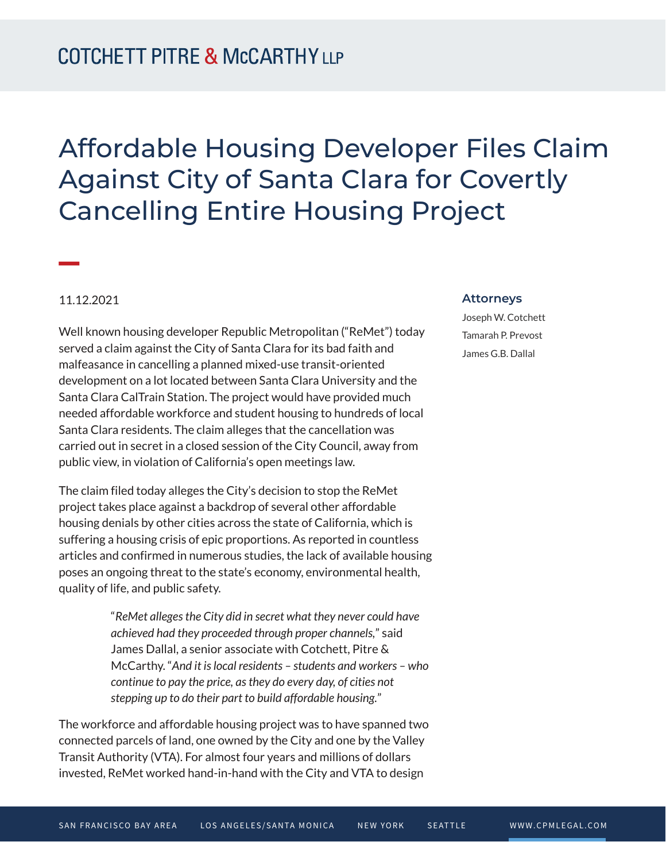## Affordable Housing Developer Files Claim Against City of Santa Clara for Covertly Cancelling Entire Housing Project

## 11.12.2021

**William Company** 

Well known housing developer Republic Metropolitan ("ReMet") today served a claim against the City of Santa Clara for its bad faith and malfeasance in cancelling a planned mixed-use transit-oriented development on a lot located between Santa Clara University and the Santa Clara CalTrain Station. The project would have provided much needed affordable workforce and student housing to hundreds of local Santa Clara residents. The claim alleges that the cancellation was carried out in secret in a closed session of the City Council, away from public view, in violation of California's open meetings law.

The claim filed today alleges the City's decision to stop the ReMet project takes place against a backdrop of several other affordable housing denials by other cities across the state of California, which is suffering a housing crisis of epic proportions. As reported in countless articles and confirmed in numerous studies, the lack of available housing poses an ongoing threat to the state's economy, environmental health, quality of life, and public safety.

> "*ReMet alleges the City did in secret what they never could have achieved had they proceeded through proper channels,*" said James Dallal, a senior associate with Cotchett, Pitre & McCarthy. "*And it is local residents – students and workers – who continue to pay the price, as they do every day, of cities not stepping up to do their part to build affordable housing.*"

The workforce and affordable housing project was to have spanned two connected parcels of land, one owned by the City and one by the Valley Transit Authority (VTA). For almost four years and millions of dollars invested, ReMet worked hand-in-hand with the City and VTA to design

## **Attorneys**

Joseph W. Cotchett Tamarah P. Prevost James G.B. Dallal